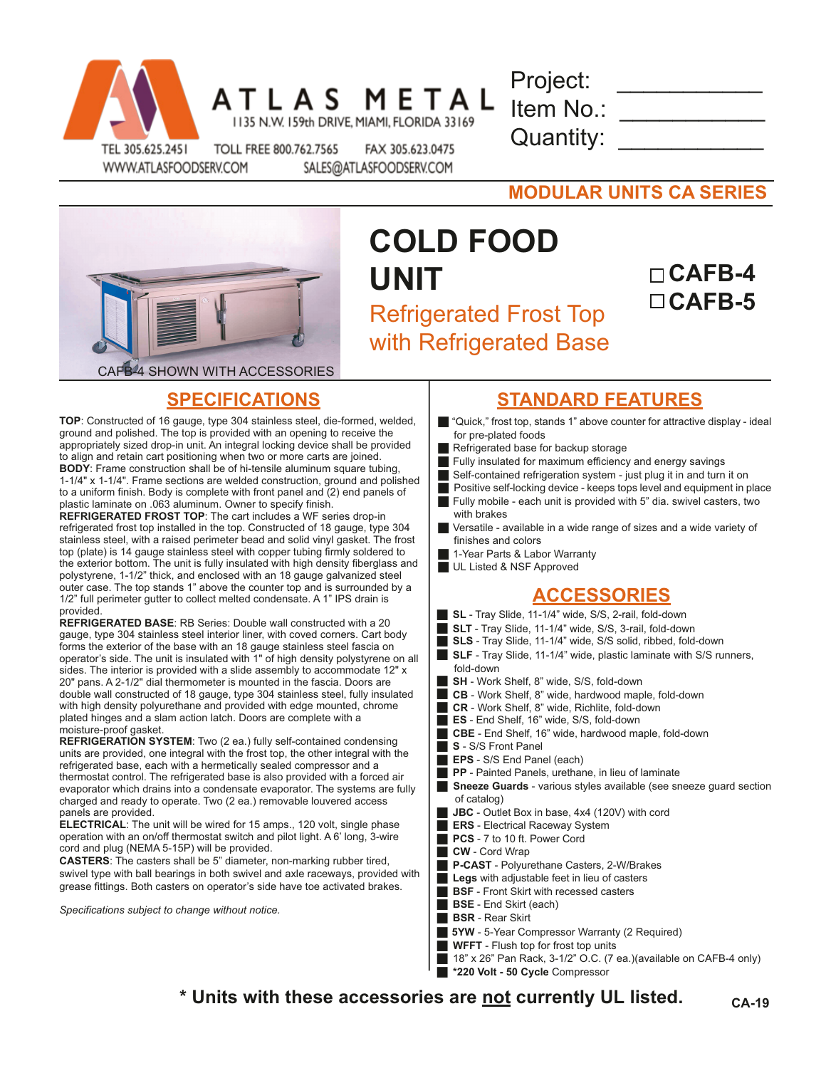

|  | S                                          | M |  |  |
|--|--------------------------------------------|---|--|--|
|  | 135 N.W. 159th DRIVE, MIAMI, FLORIDA 33169 |   |  |  |

| Project:  |  |
|-----------|--|
| Item No.: |  |
| Quantity: |  |

WWW.ATLASFOODSERV.COM

д

TOLL FREE 800.762.7565 FAX 305.623.0475 SALES@ATLASFOODSERV.COM

| <b>MODULAR UNITS CA SERIES</b> |
|--------------------------------|
|--------------------------------|



## **COLD FOOD UNIT** Refrigerated Frost Top with Refrigerated Base

# **CAFB-5**

**CAFB-4**

**TOP**: Constructed of 16 gauge, type 304 stainless steel, die-formed, welded, ground and polished. The top is provided with an opening to receive the appropriately sized drop-in unit. An integral locking device shall be provided to align and retain cart positioning when two or more carts are joined. **BODY**: Frame construction shall be of hi-tensile aluminum square tubing, 1-1/4" x 1-1/4". Frame sections are welded construction, ground and polished to a uniform finish. Body is complete with front panel and (2) end panels of plastic laminate on .063 aluminum. Owner to specify finish.

**REFRIGERATED FROST TOP:** The cart includes a WF series drop-in refrigerated frost top installed in the top. Constructed of 18 gauge, type 304 stainless steel, with a raised perimeter bead and solid vinyl gasket. The frost top (plate) is 14 gauge stainless steel with copper tubing firmly soldered to the exterior bottom. The unit is fully insulated with high density fiberglass and polystyrene, 1-1/2" thick, and enclosed with an 18 gauge galvanized steel outer case. The top stands 1" above the counter top and is surrounded by a 1/2" full perimeter gutter to collect melted condensate. A 1" IPS drain is provided.

**REFRIGERATED BASE**: RB Series: Double wall constructed with a 20 gauge, type 304 stainless steel interior liner, with coved corners. Cart body forms the exterior of the base with an 18 gauge stainless steel fascia on operator's side. The unit is insulated with 1" of high density polystyrene on all sides. The interior is provided with a slide assembly to accommodate 12" x 20" pans. A 2-1/2" dial thermometer is mounted in the fascia. Doors are double wall constructed of 18 gauge, type 304 stainless steel, fully insulated with high density polyurethane and provided with edge mounted, chrome plated hinges and a slam action latch. Doors are complete with a moisture-proof gasket.

**REFRIGERATION SYSTEM**: Two (2 ea.) fully self-contained condensing units are provided, one integral with the frost top, the other integral with the refrigerated base, each with a hermetically sealed compressor and a thermostat control. The refrigerated base is also provided with a forced air evaporator which drains into a condensate evaporator. The systems are fully charged and ready to operate. Two (2 ea.) removable louvered access panels are provided.

**ELECTRICAL**: The unit will be wired for 15 amps., 120 volt, single phase operation with an on/off thermostat switch and pilot light. A 6' long, 3-wire cord and plug (NEMA 5-15P) will be provided.

**CASTERS**: The casters shall be 5" diameter, non-marking rubber tired, swivel type with ball bearings in both swivel and axle raceways, provided with grease fittings. Both casters on operator's side have toe activated brakes.

*Specifications subject to change without notice.*

## **SPECIFICATIONS STANDARD FEATURES**

- **g** "Quick," frost top, stands 1" above counter for attractive display ideal for pre-plated foods
- Refrigerated base for backup storage
- Fully insulated for maximum efficiency and energy savings
- Self-contained refrigeration system just plug it in and turn it on
- Positive self-locking device keeps tops level and equipment in place
- Fully mobile each unit is provided with  $5$ " dia. swivel casters, two with brakes
- Versatile available in a wide range of sizes and a wide variety of finishes and colors
- 1-Year Parts & Labor Warranty
- UL Listed & NSF Approved

## **ACCESSORIES**

- **SL** Tray Slide, 11-1/4" wide, S/S, 2-rail, fold-down
- g **SLT**  Tray Slide, 11-1/4" wide, S/S, 3-rail, fold-down
- g **SLS**  Tray Slide, 11-1/4" wide, S/S solid, ribbed, fold-down
- **SLF** Tray Slide, 11-1/4" wide, plastic laminate with S/S runners, fold-down
- g **SH** Work Shelf, 8" wide, S/S, fold-down
- **CB** Work Shelf, 8" wide, hardwood maple, fold-down
- g **CR** Work Shelf, 8" wide, Richlite, fold-down
- g **ES** End Shelf, 16" wide, S/S, fold-down
- g **CBE** End Shelf, 16" wide, hardwood maple, fold-down
- g **S** S/S Front Panel
- **EPS** S/S End Panel (each)
- **PP** Painted Panels, urethane, in lieu of laminate
- **Sneeze Guards** various styles available (see sneeze guard section of catalog)
- JBC Outlet Box in base, 4x4 (120V) with cord
- **ERS** Electrical Raceway System
- PCS 7 to 10 ft. Power Cord
- **CW** Cord Wrap
- **P-CAST** Polyurethane Casters, 2-W/Brakes
- Legs with adjustable feet in lieu of casters
- **BSF** Front Skirt with recessed casters
- **BSE** End Skirt (each)
- **BSR** Rear Skirt
- **5YW** 5-Year Compressor Warranty (2 Required)
- **WFFT** Flush top for frost top units
- $\blacksquare$  18" x 26" Pan Rack, 3-1/2" O.C. (7 ea.)(available on CAFB-4 only)
	- g **\*220 Volt 50 Cycle** Compressor

**\* Units with these accessories are not currently UL listed. CA-19**